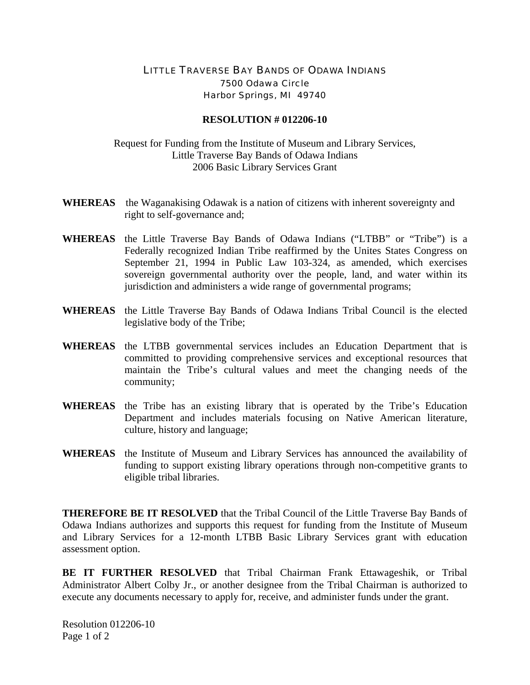## LITTLE TRAVERSE BAY BANDS OF ODAWA INDIANS 7500 Odawa Circle Harbor Springs, MI 49740

## **RESOLUTION # 012206-10**

Request for Funding from the Institute of Museum and Library Services, Little Traverse Bay Bands of Odawa Indians 2006 Basic Library Services Grant

- **WHEREAS** the Waganakising Odawak is a nation of citizens with inherent sovereignty and right to self-governance and;
- **WHEREAS** the Little Traverse Bay Bands of Odawa Indians ("LTBB" or "Tribe") is a Federally recognized Indian Tribe reaffirmed by the Unites States Congress on September 21, 1994 in Public Law 103-324, as amended, which exercises sovereign governmental authority over the people, land, and water within its jurisdiction and administers a wide range of governmental programs;
- **WHEREAS** the Little Traverse Bay Bands of Odawa Indians Tribal Council is the elected legislative body of the Tribe;
- **WHEREAS** the LTBB governmental services includes an Education Department that is committed to providing comprehensive services and exceptional resources that maintain the Tribe's cultural values and meet the changing needs of the community;
- **WHEREAS** the Tribe has an existing library that is operated by the Tribe's Education Department and includes materials focusing on Native American literature, culture, history and language;
- **WHEREAS** the Institute of Museum and Library Services has announced the availability of funding to support existing library operations through non-competitive grants to eligible tribal libraries.

**THEREFORE BE IT RESOLVED** that the Tribal Council of the Little Traverse Bay Bands of Odawa Indians authorizes and supports this request for funding from the Institute of Museum and Library Services for a 12-month LTBB Basic Library Services grant with education assessment option.

**BE IT FURTHER RESOLVED** that Tribal Chairman Frank Ettawageshik, or Tribal Administrator Albert Colby Jr., or another designee from the Tribal Chairman is authorized to execute any documents necessary to apply for, receive, and administer funds under the grant.

Resolution 012206-10 Page 1 of 2